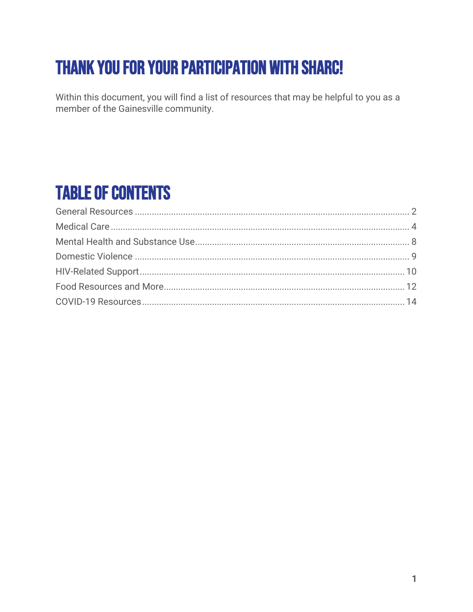# **THANK YOU FOR YOUR PARTICIPATION WITH SHARC!**

Within this document, you will find a list of resources that may be helpful to you as a member of the Gainesville community.

# **TABLE OF CONTENTS**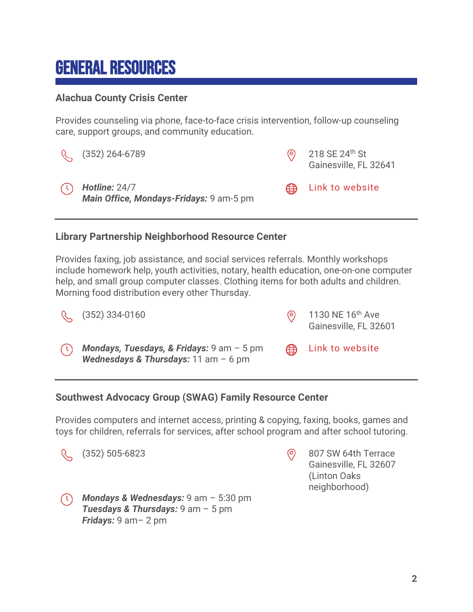# <span id="page-1-0"></span>General Resources

### **Alachua County Crisis Center**

Provides counseling via phone, face-to-face crisis intervention, follow-up counseling care, support groups, and community education.

| (352) 264-6789                                                      | $\odot$ 218 SE 24 <sup>th</sup> St<br>Gainesville, FL 32641 |
|---------------------------------------------------------------------|-------------------------------------------------------------|
| $\bigcirc$ Hotline: 24/7<br>Main Office, Mondays-Fridays: 9 am-5 pm | (B) Link to website                                         |

### **Library Partnership Neighborhood Resource Center**

Provides faxing, job assistance, and social services referrals. Monthly workshops include homework help, youth activities, notary, health education, one-on-one computer help, and small group computer classes. Clothing items for both adults and children. Morning food distribution every other Thursday.



### **Southwest Advocacy Group (SWAG) Family Resource Center**

Provides computers and internet access, printing & copying, faxing, books, games and toys for children, referrals for services, after school program and after school tutoring.



*Fridays:* 9 am– 2 pm

*Mondays & Wednesdays:* 9 am – 5:30 pm *Tuesdays & Thursdays:* 9 am – 5 pm

Gainesville, FL 32607 (Linton Oaks neighborhood)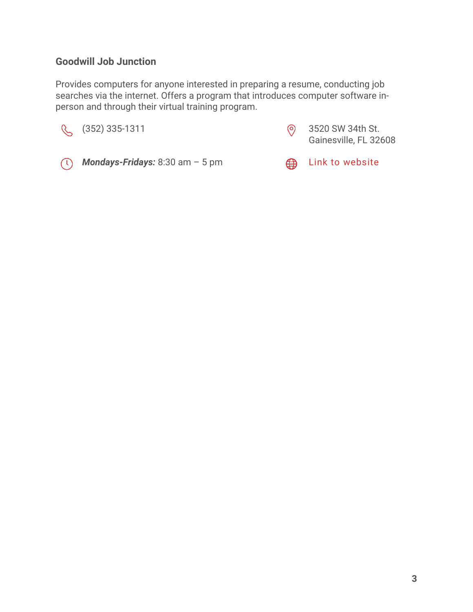## **Goodwill Job Junction**

Provides computers for anyone interested in preparing a resume, conducting job searches via the internet. Offers a program that introduces computer software inperson and through their virtual training program.



Gainesville, FL 32608



*(I)* Mondays-Fridays: 8:30 am – 5 pm **comes in the United State** [Link to website](http://www.goodwilljax.org/employment/job-junctions.aspx)

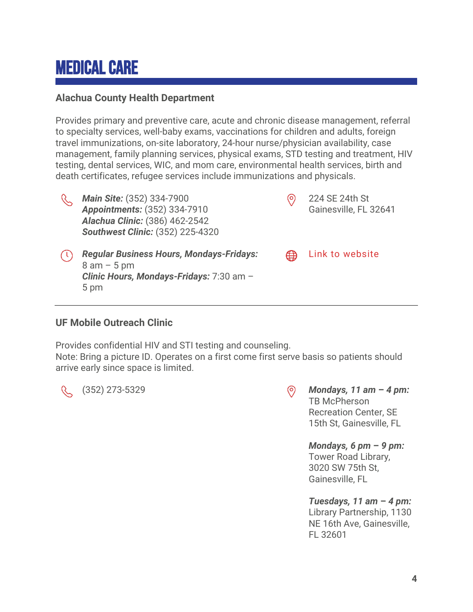# <span id="page-3-0"></span>Medical Care

### **Alachua County Health Department**

Provides primary and preventive care, acute and chronic disease management, referral to specialty services, well-baby exams, vaccinations for children and adults, foreign travel immunizations, on-site laboratory, 24-hour nurse/physician availability, case management, family planning services, physical exams, STD testing and treatment, HIV testing, dental services, WIC, and mom care, environmental health services, birth and death certificates, refugee services include immunizations and physicals.



*Main Site:* (352) 334-7900 *Appointments:* (352) 334-7910 *Alachua Clinic:* (386) 462-2542 *Southwest Clinic:* (352) 225-4320

**ED** [Link to website](http://www.doh.state.fl.us/chdalachua/)

224 SE 24th St

⊚

Gainesville, FL 32641

*Regular Business Hours, Mondays-Fridays:*  8 am – 5 pm *Clinic Hours, Mondays-Fridays:* 7:30 am – 5 pm

### **UF Mobile Outreach Clinic**

Provides confidential HIV and STI testing and counseling.

Note: Bring a picture ID. Operates on a first come first serve basis so patients should arrive early since space is limited.

(352) 273-5329 *Mondays, 11 am* **–** *4 pm:*  TB McPherson Recreation Center, SE 15th St, Gainesville, FL

> *Mondays, 6 pm* **–** *9 pm:*  Tower Road Library, 3020 SW 75th St, Gainesville, FL

*Tuesdays, 11 am* **–** *4 pm:*  Library Partnership, 1130 NE 16th Ave, Gainesville, FL 32601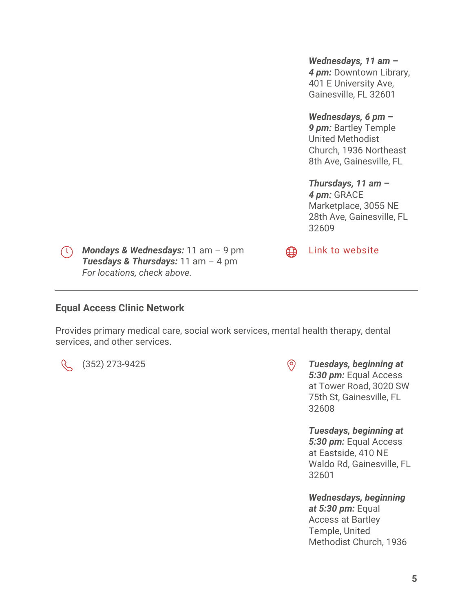*Wednesdays, 11 am* **–** *4 pm:* Downtown Library, 401 E University Ave, Gainesville, FL 32601

*Wednesdays, 6 pm* **–** *9 pm:* Bartley Temple United Methodist Church, 1936 Northeast 8th Ave, Gainesville, FL

*Thursdays, 11 am* **–** *4 pm:* GRACE Marketplace, 3055 NE 28th Ave, Gainesville, FL 32609

[Link to website](http://outreach.med.ufl.edu/)

⊕

*Mondays & Wednesdays:* 11 am – 9 pm *Tuesdays & Thursdays:* 11 am – 4 pm *For locations, check above.*

#### **Equal Access Clinic Network**

Provides primary medical care, social work services, mental health therapy, dental services, and other services.

R.

(352) 273-9425 *Tuesdays, beginning at 5:30 pm:* Equal Access at Tower Road, 3020 SW 75th St, Gainesville, FL 32608

> *Tuesdays, beginning at 5:30 pm:* Equal Access at Eastside, 410 NE Waldo Rd, Gainesville, FL 32601

*Wednesdays, beginning at 5:30 pm:* Equal Access at Bartley Temple, United Methodist Church, 1936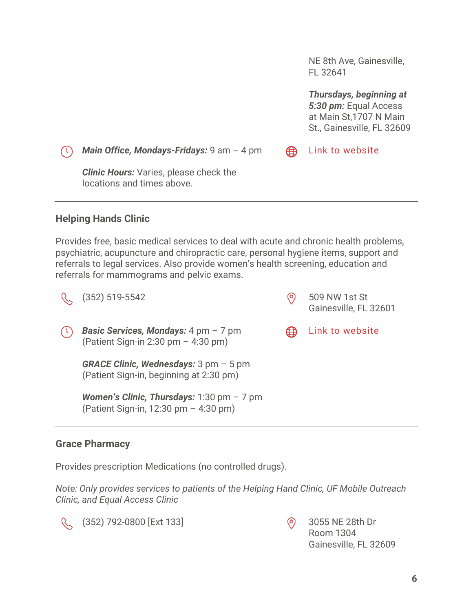NE 8th Ave, Gainesville, FL 32641

*Thursdays, beginning at 5:30 pm:* Equal Access at Main St,1707 N Main St., Gainesville, FL 32609

*Main Office, Mondays-Fridays:* 9 am – 4 pm

*Clinic Hours:* Varies, please check the locations and times above.

# **Helping Hands Clinic**

Provides free, basic medical services to deal with acute and chronic health problems, psychiatric, acupuncture and chiropractic care, personal hygiene items, support and referrals to legal services. Also provide women's health screening, education and referrals for mammograms and pelvic exams.

(352) 519-5542 (352) 519-5542 R.

*Basic Services, Mondays:* 4 pm – 7 pm (Patient Sign-in 2:30 pm – 4:30 pm)

> *GRACE Clinic, Wednesdays:* 3 pm – 5 pm (Patient Sign-in, beginning at 2:30 pm)

*Women's Clinic, Thursdays:* 1:30 pm – 7 pm (Patient Sign-in, 12:30 pm – 4:30 pm)

# **Grace Pharmacy**

Provides prescription Medications (no controlled drugs).

*Note: Only provides services to patients of the Helping Hand Clinic, UF Mobile Outreach Clinic, and Equal Access Clinic*



(352) 792-0800 [Ext 133] 3055 NE 28th Dr

Room 1304 Gainesville, FL 32609



⊕

[Link to website](http://hhclinicgnv.org/)

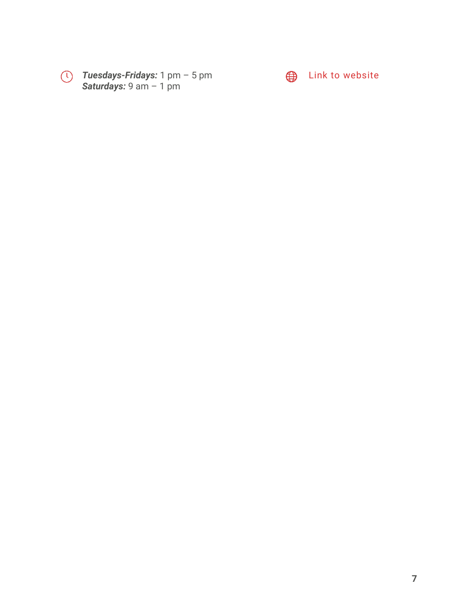

*Tuesdays-Fridays:* 1 pm – 5 pm *Saturdays:* 9 am – 1 pm



 $\bigoplus$  [Link to website](http://www.gracehealthcs.com/)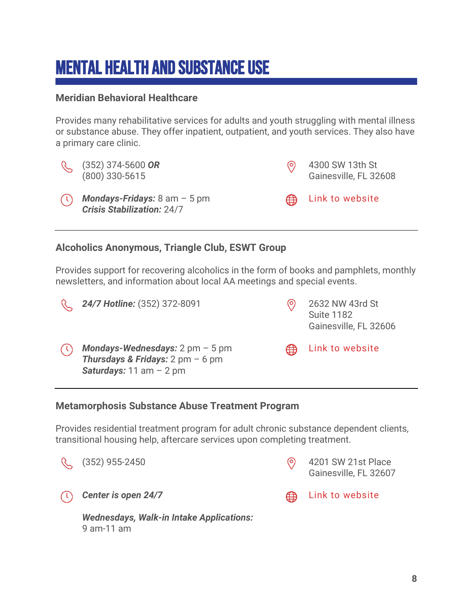# <span id="page-7-0"></span>Mental Health and Substance Use

### **Meridian Behavioral Healthcare**

Provides many rehabilitative services for adults and youth struggling with mental illness or substance abuse. They offer inpatient, outpatient, and youth services. They also have a primary care clinic.



(352) 374-5600 *OR* (800) 330-5615

*Mondays-Fridays:* 8 am – 5 pm *Crisis Stabilization:* 24/7



[Link to website](http://mbhci.org/)

ക

### **Alcoholics Anonymous, Triangle Club, ESWT Group**

Provides support for recovering alcoholics in the form of books and pamphlets, monthly newsletters, and information about local AA meetings and special events.

 $\mathcal{C}$ **24/7 Hotline:** (352) 372-8091 **324/7 Hotline:** (352) 372-8091 Suite 1182 Gainesville, FL 32606 [Link to website](http://www.northcentralflaa.org/) *Mondays-Wednesdays:* 2 pm – 5 pm ⊕ *Thursdays & Fridays:* 2 pm – 6 pm *Saturdays:* 11 am – 2 pm

### **Metamorphosis Substance Abuse Treatment Program**

Provides residential treatment program for adult chronic substance dependent clients, transitional housing help, aftercare services upon completing treatment.



*Wednesdays, Walk-in Intake Applications:*  9 am-11 am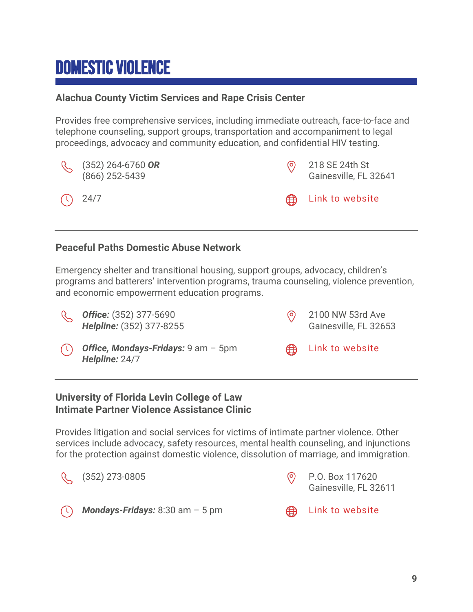# <span id="page-8-0"></span>Domestic Violence

## **Alachua County Victim Services and Rape Crisis Center**

Provides free comprehensive services, including immediate outreach, face-to-face and telephone counseling, support groups, transportation and accompaniment to legal proceedings, advocacy and community education, and confidential HIV testing.



### **Peaceful Paths Domestic Abuse Network**

Emergency shelter and transitional housing, support groups, advocacy, children's programs and batterers' intervention programs, trauma counseling, violence prevention, and economic empowerment education programs.

 $\mathcal{C}$ *Office:* (352) 377-5690 *Helpline:* (352) 377-8255





*Office, Mondays-Fridays:* 9 am – 5pm *Helpline:* 24/7

[Link to website](http://www.peacefulpaths.org/)

# **University of Florida Levin College of Law Intimate Partner Violence Assistance Clinic**

Provides litigation and social services for victims of intimate partner violence. Other services include advocacy, safety resources, mental health counseling, and injunctions for the protection against domestic violence, dissolution of marriage, and immigration.



*Mondays-Fridays:* 8:30 am – 5 pm **CALLICAN EXAMPLE 10 Website**  $\left( \mathfrak{t}\right)$ 





∰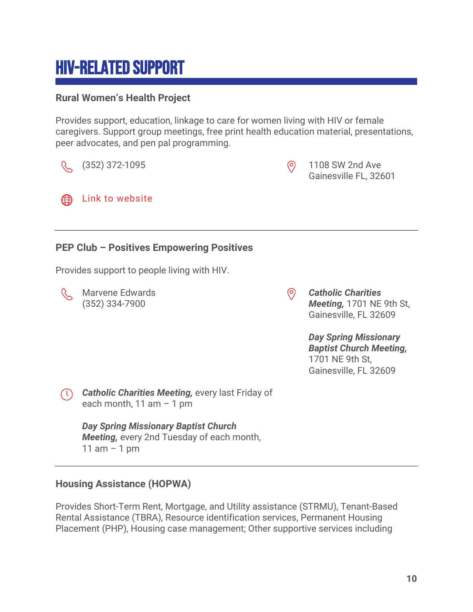# <span id="page-9-0"></span>HIV-Related Support

# **Rural Women's Health Project**

Provides support, education, linkage to care for women living with HIV or female caregivers. Support group meetings, free print health education material, presentations, peer advocates, and pen pal programming.



# **Housing Assistance (HOPWA)**

Provides Short-Term Rent, Mortgage, and Utility assistance (STRMU), Tenant-Based Rental Assistance (TBRA), Resource identification services, Permanent Housing Placement (PHP), Housing case management; Other supportive services including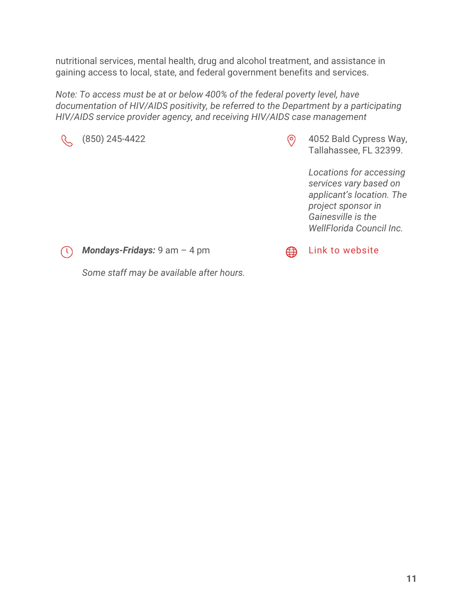nutritional services, mental health, drug and alcohol treatment, and assistance in gaining access to local, state, and federal government benefits and services.

*Note: To access must be at or below 400% of the federal poverty level, have documentation of HIV/AIDS positivity, be referred to the Department by a participating HIV/AIDS service provider agency, and receiving HIV/AIDS case management*



(850) 245-4422 (850) 245-4422 (9 4052 Bald Cypress Way, Tallahassee, FL 32399.

> *Locations for accessing services vary based on applicant's location. The project sponsor in Gainesville is the WellFlorida Council Inc.*



*Mondays-Fridays:* 9 am – 4 pm

[Link to website](http://www.floridahealth.gov/diseases-and-conditions/aids/patient-care/hopwa.html) ∰

*Some staff may be available after hours.*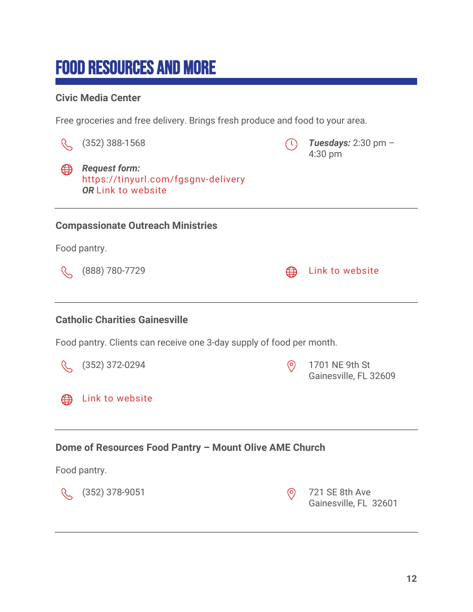# <span id="page-11-0"></span>Food Resources and More

## **Civic Media Center**

Free groceries and free delivery. Brings fresh produce and food to your area.

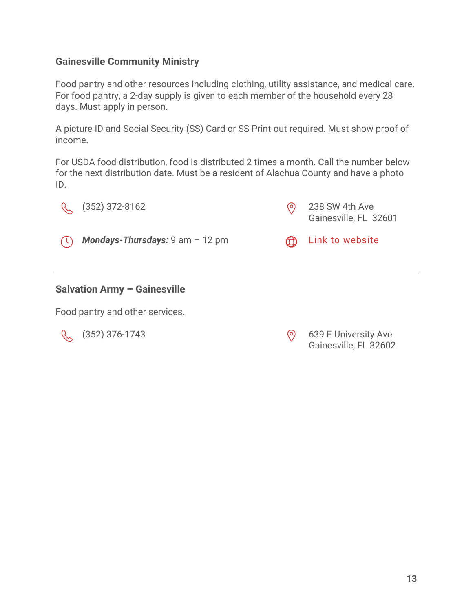### **Gainesville Community Ministry**

Food pantry and other resources including clothing, utility assistance, and medical care. For food pantry, a 2-day supply is given to each member of the household every 28 days. Must apply in person.

A picture ID and Social Security (SS) Card or SS Print-out required. Must show proof of income.

For USDA food distribution, food is distributed 2 times a month. Call the number below for the next distribution date. Must be a resident of Alachua County and have a photo ID.



#### **Salvation Army – Gainesville**

Food pantry and other services.

(352) 376-1743 (352) 639 E University Ave Gainesville, FL 32602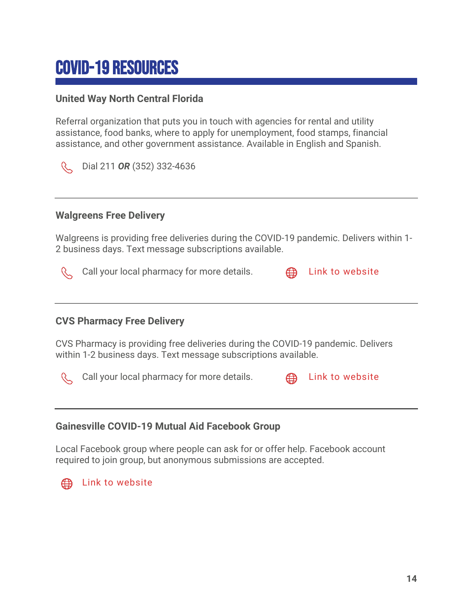# <span id="page-13-0"></span>COVID-19 Resources

## **United Way North Central Florida**

Referral organization that puts you in touch with agencies for rental and utility assistance, food banks, where to apply for unemployment, food stamps, financial assistance, and other government assistance. Available in English and Spanish.

R Dial 211 *OR* (352) 332-4636

### **Walgreens Free Delivery**

Walgreens is providing free deliveries during the COVID-19 pandemic. Delivers within 1- 2 business days. Text message subscriptions available.



Call your local pharmacy for more details.  $\bigoplus$  [Link to website](https://www.walgreens.com/topic/pharmacy/walgreens-express.jsp?mi_u=AENLiJ)



### **CVS Pharmacy Free Delivery**

CVS Pharmacy is providing free deliveries during the COVID-19 pandemic. Delivers within 1-2 business days. Text message subscriptions available.



Call your local pharmacy for more details.  $\bigoplus$  [Link to website](https://www.cvs.com/content/delivery)



### **Gainesville COVID-19 Mutual Aid Facebook Group**

Local Facebook group where people can ask for or offer help. Facebook account required to join group, but anonymous submissions are accepted.



[Link to website](https://www.facebook.com/groups/243135496869312)